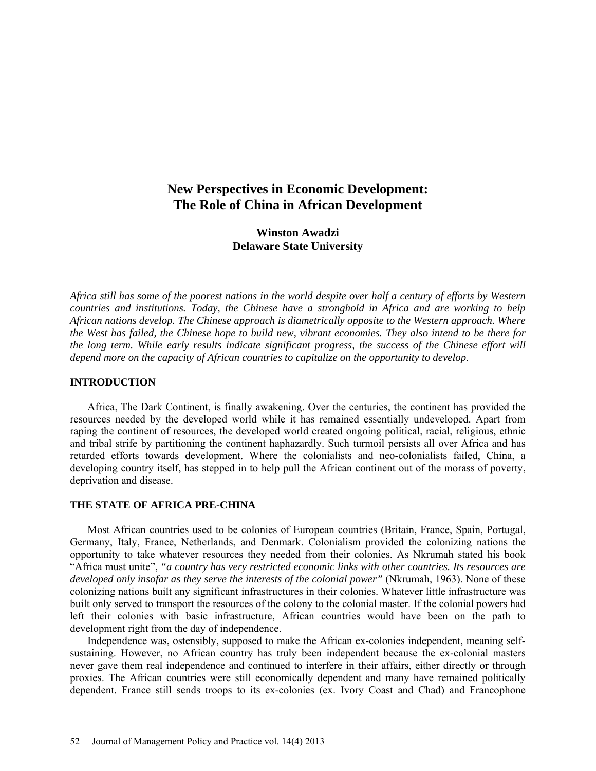# **New Perspectives in Economic Development: The Role of China in African Development**

**Winston Awadzi Delaware State University**

*Africa still has some of the poorest nations in the world despite over half a century of efforts by Western countries and institutions. Today, the Chinese have a stronghold in Africa and are working to help African nations develop. The Chinese approach is diametrically opposite to the Western approach. Where the West has failed, the Chinese hope to build new, vibrant economies. They also intend to be there for the long term. While early results indicate significant progress, the success of the Chinese effort will depend more on the capacity of African countries to capitalize on the opportunity to develop*.

## **INTRODUCTION**

Africa, The Dark Continent, is finally awakening. Over the centuries, the continent has provided the resources needed by the developed world while it has remained essentially undeveloped. Apart from raping the continent of resources, the developed world created ongoing political, racial, religious, ethnic and tribal strife by partitioning the continent haphazardly. Such turmoil persists all over Africa and has retarded efforts towards development. Where the colonialists and neo-colonialists failed, China, a developing country itself, has stepped in to help pull the African continent out of the morass of poverty, deprivation and disease.

## **THE STATE OF AFRICA PRE-CHINA**

Most African countries used to be colonies of European countries (Britain, France, Spain, Portugal, Germany, Italy, France, Netherlands, and Denmark. Colonialism provided the colonizing nations the opportunity to take whatever resources they needed from their colonies. As Nkrumah stated his book "Africa must unite", *"a country has very restricted economic links with other countries. Its resources are developed only insofar as they serve the interests of the colonial power"* (Nkrumah, 1963). None of these colonizing nations built any significant infrastructures in their colonies. Whatever little infrastructure was built only served to transport the resources of the colony to the colonial master. If the colonial powers had left their colonies with basic infrastructure, African countries would have been on the path to development right from the day of independence.

Independence was, ostensibly, supposed to make the African ex-colonies independent, meaning selfsustaining. However, no African country has truly been independent because the ex-colonial masters never gave them real independence and continued to interfere in their affairs, either directly or through proxies. The African countries were still economically dependent and many have remained politically dependent. France still sends troops to its ex-colonies (ex. Ivory Coast and Chad) and Francophone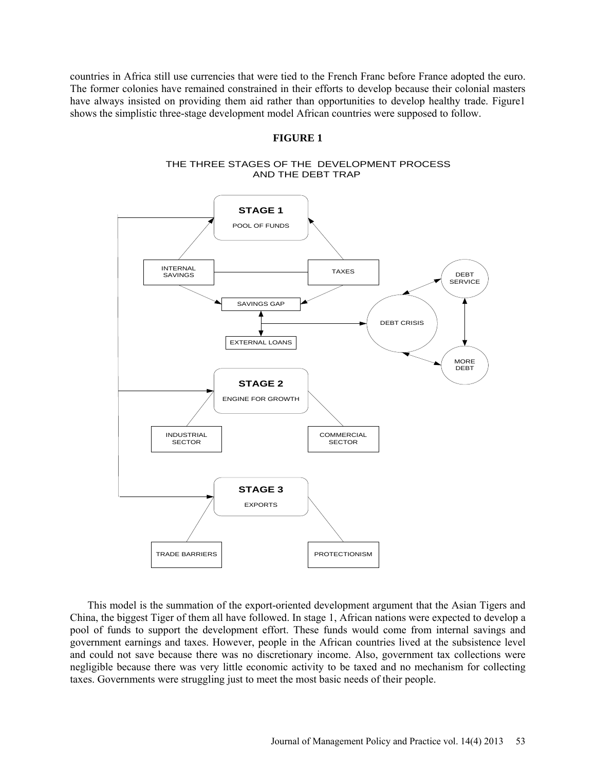countries in Africa still use currencies that were tied to the French Franc before France adopted the euro. The former colonies have remained constrained in their efforts to develop because their colonial masters have always insisted on providing them aid rather than opportunities to develop healthy trade. Figure1 shows the simplistic three-stage development model African countries were supposed to follow.

#### **FIGURE 1**





This model is the summation of the export-oriented development argument that the Asian Tigers and China, the biggest Tiger of them all have followed. In stage 1, African nations were expected to develop a pool of funds to support the development effort. These funds would come from internal savings and government earnings and taxes. However, people in the African countries lived at the subsistence level and could not save because there was no discretionary income. Also, government tax collections were negligible because there was very little economic activity to be taxed and no mechanism for collecting taxes. Governments were struggling just to meet the most basic needs of their people.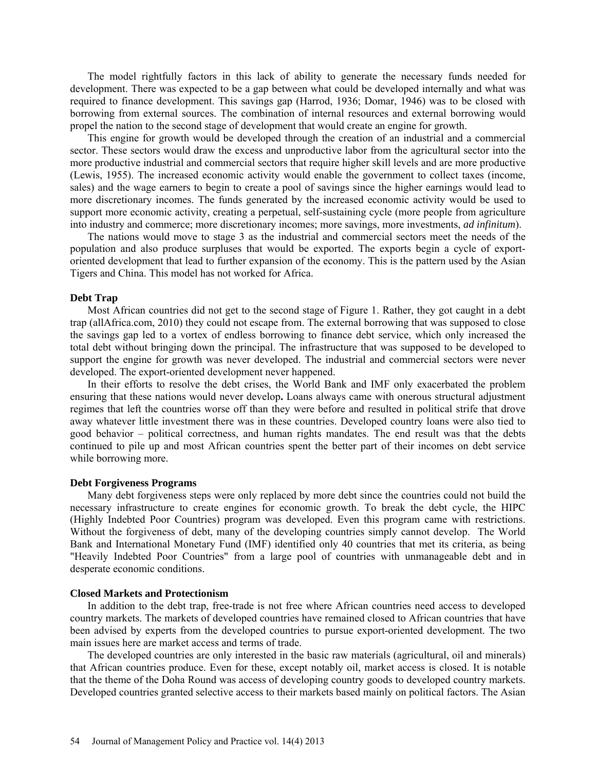The model rightfully factors in this lack of ability to generate the necessary funds needed for development. There was expected to be a gap between what could be developed internally and what was required to finance development. This savings gap (Harrod, 1936; Domar, 1946) was to be closed with borrowing from external sources. The combination of internal resources and external borrowing would propel the nation to the second stage of development that would create an engine for growth.

This engine for growth would be developed through the creation of an industrial and a commercial sector. These sectors would draw the excess and unproductive labor from the agricultural sector into the more productive industrial and commercial sectors that require higher skill levels and are more productive (Lewis, 1955). The increased economic activity would enable the government to collect taxes (income, sales) and the wage earners to begin to create a pool of savings since the higher earnings would lead to more discretionary incomes. The funds generated by the increased economic activity would be used to support more economic activity, creating a perpetual, self-sustaining cycle (more people from agriculture into industry and commerce; more discretionary incomes; more savings, more investments, *ad infinitum*).

The nations would move to stage 3 as the industrial and commercial sectors meet the needs of the population and also produce surpluses that would be exported. The exports begin a cycle of exportoriented development that lead to further expansion of the economy. This is the pattern used by the Asian Tigers and China. This model has not worked for Africa.

#### **Debt Trap**

Most African countries did not get to the second stage of Figure 1. Rather, they got caught in a debt trap (allAfrica.com, 2010) they could not escape from. The external borrowing that was supposed to close the savings gap led to a vortex of endless borrowing to finance debt service, which only increased the total debt without bringing down the principal. The infrastructure that was supposed to be developed to support the engine for growth was never developed. The industrial and commercial sectors were never developed. The export-oriented development never happened.

In their efforts to resolve the debt crises, the World Bank and IMF only exacerbated the problem ensuring that these nations would never develop**.** Loans always came with onerous structural adjustment regimes that left the countries worse off than they were before and resulted in political strife that drove away whatever little investment there was in these countries. Developed country loans were also tied to good behavior – political correctness, and human rights mandates. The end result was that the debts continued to pile up and most African countries spent the better part of their incomes on debt service while borrowing more.

#### **Debt Forgiveness Programs**

Many debt forgiveness steps were only replaced by more debt since the countries could not build the necessary infrastructure to create engines for economic growth. To break the debt cycle, the HIPC (Highly Indebted Poor Countries) program was developed. Even this program came with restrictions. Without the forgiveness of debt, many of the developing countries simply cannot develop. [The World](http://www.worldbank.org/)  [Bank](http://www.worldbank.org/) and [International Monetary Fund \(IMF\)](http://www.imf.org/) identified only 40 countries that met its criteria, as being "Heavily Indebted Poor Countries" from a large pool of countries with unmanageable debt and in desperate economic conditions.

#### **Closed Markets and Protectionism**

In addition to the debt trap, free-trade is not free where African countries need access to developed country markets. The markets of developed countries have remained closed to African countries that have been advised by experts from the developed countries to pursue export-oriented development. The two main issues here are market access and terms of trade.

The developed countries are only interested in the basic raw materials (agricultural, oil and minerals) that African countries produce. Even for these, except notably oil, market access is closed. It is notable that the theme of the Doha Round was access of developing country goods to developed country markets. Developed countries granted selective access to their markets based mainly on political factors. The Asian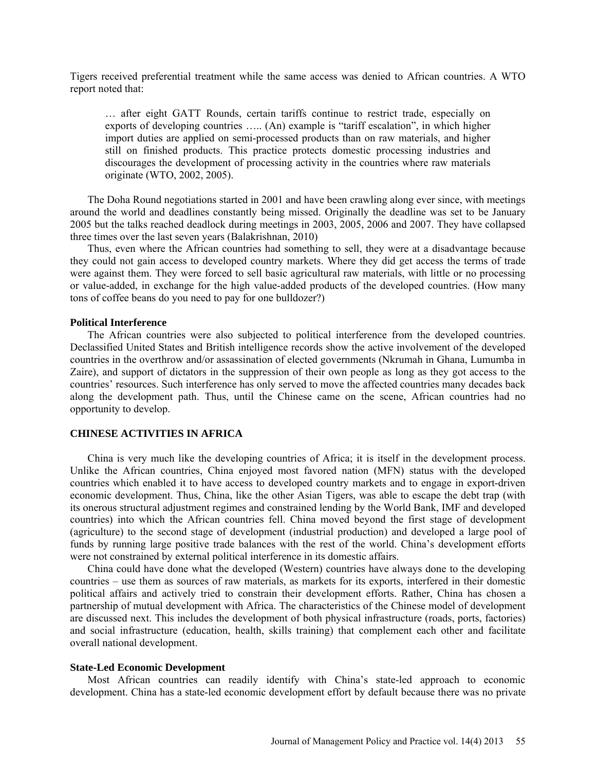Tigers received preferential treatment while the same access was denied to African countries. A WTO report noted that:

… after eight GATT Rounds, certain tariffs continue to restrict trade, especially on exports of developing countries ….. (An) example is "tariff escalation", in which higher import duties are applied on semi-processed products than on raw materials, and higher still on finished products. This practice protects domestic processing industries and discourages the development of processing activity in the countries where raw materials originate (WTO, 2002, 2005).

The Doha Round negotiations started in 2001 and have been crawling along ever since, with meetings around the world and deadlines constantly being missed. Originally the deadline was set to be January 2005 but the talks reached deadlock during meetings in 2003, 2005, 2006 and 2007. They have collapsed three times over the last seven years (Balakrishnan, 2010)

Thus, even where the African countries had something to sell, they were at a disadvantage because they could not gain access to developed country markets. Where they did get access the terms of trade were against them. They were forced to sell basic agricultural raw materials, with little or no processing or value-added, in exchange for the high value-added products of the developed countries. (How many tons of coffee beans do you need to pay for one bulldozer?)

#### **Political Interference**

The African countries were also subjected to political interference from the developed countries. Declassified United States and British intelligence records show the active involvement of the developed countries in the overthrow and/or assassination of elected governments (Nkrumah in Ghana, Lumumba in Zaire), and support of dictators in the suppression of their own people as long as they got access to the countries' resources. Such interference has only served to move the affected countries many decades back along the development path. Thus, until the Chinese came on the scene, African countries had no opportunity to develop.

## **CHINESE ACTIVITIES IN AFRICA**

China is very much like the developing countries of Africa; it is itself in the development process. Unlike the African countries, China enjoyed most favored nation (MFN) status with the developed countries which enabled it to have access to developed country markets and to engage in export-driven economic development. Thus, China, like the other Asian Tigers, was able to escape the debt trap (with its onerous structural adjustment regimes and constrained lending by the World Bank, IMF and developed countries) into which the African countries fell. China moved beyond the first stage of development (agriculture) to the second stage of development (industrial production) and developed a large pool of funds by running large positive trade balances with the rest of the world. China's development efforts were not constrained by external political interference in its domestic affairs.

China could have done what the developed (Western) countries have always done to the developing countries – use them as sources of raw materials, as markets for its exports, interfered in their domestic political affairs and actively tried to constrain their development efforts. Rather, China has chosen a partnership of mutual development with Africa. The characteristics of the Chinese model of development are discussed next. This includes the development of both physical infrastructure (roads, ports, factories) and social infrastructure (education, health, skills training) that complement each other and facilitate overall national development.

#### **State-Led Economic Development**

Most African countries can readily identify with China's state-led approach to economic development. China has a state-led economic development effort by default because there was no private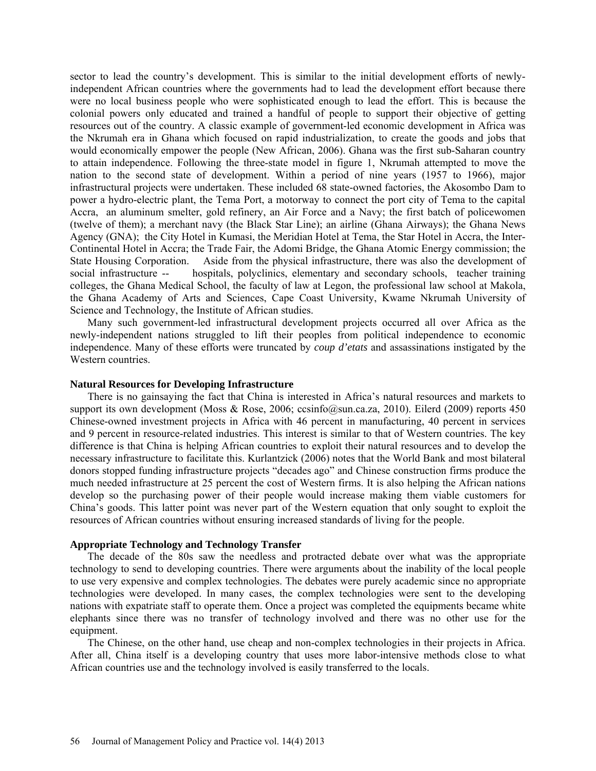sector to lead the country's development. This is similar to the initial development efforts of newlyindependent African countries where the governments had to lead the development effort because there were no local business people who were sophisticated enough to lead the effort. This is because the colonial powers only educated and trained a handful of people to support their objective of getting resources out of the country. A classic example of government-led economic development in Africa was the Nkrumah era in Ghana which focused on rapid industrialization, to create the goods and jobs that would economically empower the people (New African, 2006). Ghana was the first sub-Saharan country to attain independence. Following the three-state model in figure 1, Nkrumah attempted to move the nation to the second state of development. Within a period of nine years (1957 to 1966), major infrastructural projects were undertaken. These included 68 state-owned factories, the Akosombo Dam to power a hydro-electric plant, the Tema Port, a motorway to connect the port city of Tema to the capital Accra, an aluminum smelter, gold refinery, an Air Force and a Navy; the first batch of policewomen (twelve of them); a merchant navy (the Black Star Line); an airline (Ghana Airways); the Ghana News Agency (GNA); the City Hotel in Kumasi, the Meridian Hotel at Tema, the Star Hotel in Accra, the Inter-Continental Hotel in Accra; the Trade Fair, the Adomi Bridge, the Ghana Atomic Energy commission; the State Housing Corporation. Aside from the physical infrastructure, there was also the development of social infrastructure -- hospitals, polyclinics, elementary and secondary schools, teacher training colleges, the Ghana Medical School, the faculty of law at Legon, the professional law school at Makola, the Ghana Academy of Arts and Sciences, Cape Coast University, Kwame Nkrumah University of Science and Technology, the Institute of African studies.

Many such government-led infrastructural development projects occurred all over Africa as the newly-independent nations struggled to lift their peoples from political independence to economic independence. Many of these efforts were truncated by *coup d'etats* and assassinations instigated by the Western countries.

#### **Natural Resources for Developing Infrastructure**

There is no gainsaying the fact that China is interested in Africa's natural resources and markets to support its own development (Moss & Rose, 2006; [ccsinfo@sun.ca.za,](mailto:ccsinfo@sun.ca.za) 2010). Eilerd (2009) reports 450 Chinese-owned investment projects in Africa with 46 percent in manufacturing, 40 percent in services and 9 percent in resource-related industries. This interest is similar to that of Western countries. The key difference is that China is helping African countries to exploit their natural resources and to develop the necessary infrastructure to facilitate this. Kurlantzick (2006) notes that the World Bank and most bilateral donors stopped funding infrastructure projects "decades ago" and Chinese construction firms produce the much needed infrastructure at 25 percent the cost of Western firms. It is also helping the African nations develop so the purchasing power of their people would increase making them viable customers for China's goods. This latter point was never part of the Western equation that only sought to exploit the resources of African countries without ensuring increased standards of living for the people.

#### **Appropriate Technology and Technology Transfer**

The decade of the 80s saw the needless and protracted debate over what was the appropriate technology to send to developing countries. There were arguments about the inability of the local people to use very expensive and complex technologies. The debates were purely academic since no appropriate technologies were developed. In many cases, the complex technologies were sent to the developing nations with expatriate staff to operate them. Once a project was completed the equipments became white elephants since there was no transfer of technology involved and there was no other use for the equipment.

The Chinese, on the other hand, use cheap and non-complex technologies in their projects in Africa. After all, China itself is a developing country that uses more labor-intensive methods close to what African countries use and the technology involved is easily transferred to the locals.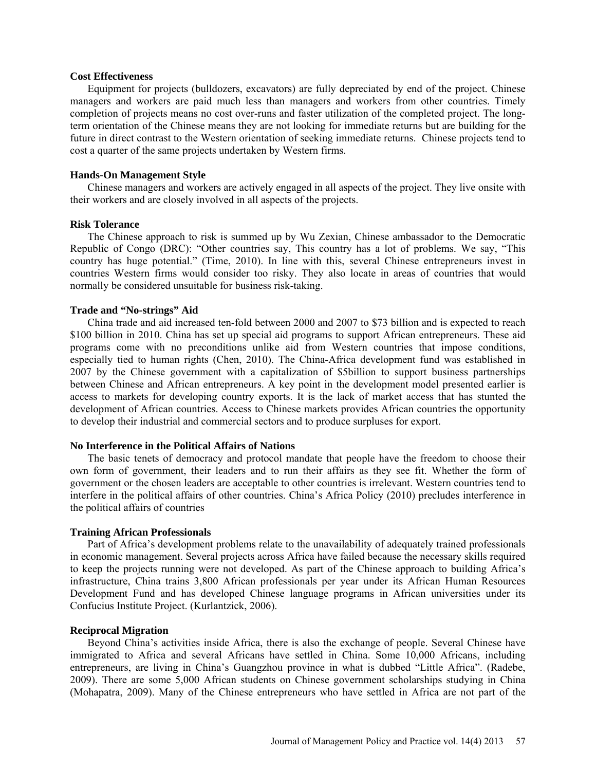#### **Cost Effectiveness**

Equipment for projects (bulldozers, excavators) are fully depreciated by end of the project. Chinese managers and workers are paid much less than managers and workers from other countries. Timely completion of projects means no cost over-runs and faster utilization of the completed project. The longterm orientation of the Chinese means they are not looking for immediate returns but are building for the future in direct contrast to the Western orientation of seeking immediate returns. Chinese projects tend to cost a quarter of the same projects undertaken by Western firms.

#### **Hands-On Management Style**

Chinese managers and workers are actively engaged in all aspects of the project. They live onsite with their workers and are closely involved in all aspects of the projects.

### **Risk Tolerance**

The Chinese approach to risk is summed up by Wu Zexian, Chinese ambassador to the Democratic Republic of Congo (DRC): "Other countries say, This country has a lot of problems. We say, "This country has huge potential." (Time, 2010). In line with this, several Chinese entrepreneurs invest in countries Western firms would consider too risky. They also locate in areas of countries that would normally be considered unsuitable for business risk-taking.

### **Trade and "No-strings" Aid**

China trade and aid increased ten-fold between 2000 and 2007 to \$73 billion and is expected to reach \$100 billion in 2010. China has set up special aid programs to support African entrepreneurs. These aid programs come with no preconditions unlike aid from Western countries that impose conditions, especially tied to human rights (Chen, 2010). The China-Africa development fund was established in 2007 by the Chinese government with a capitalization of \$5billion to support business partnerships between Chinese and African entrepreneurs. A key point in the development model presented earlier is access to markets for developing country exports. It is the lack of market access that has stunted the development of African countries. Access to Chinese markets provides African countries the opportunity to develop their industrial and commercial sectors and to produce surpluses for export.

## **No Interference in the Political Affairs of Nations**

The basic tenets of democracy and protocol mandate that people have the freedom to choose their own form of government, their leaders and to run their affairs as they see fit. Whether the form of government or the chosen leaders are acceptable to other countries is irrelevant. Western countries tend to interfere in the political affairs of other countries. China's Africa Policy (2010) precludes interference in the political affairs of countries

#### **Training African Professionals**

Part of Africa's development problems relate to the unavailability of adequately trained professionals in economic management. Several projects across Africa have failed because the necessary skills required to keep the projects running were not developed. As part of the Chinese approach to building Africa's infrastructure, China trains 3,800 African professionals per year under its African Human Resources Development Fund and has developed Chinese language programs in African universities under its Confucius Institute Project. (Kurlantzick, 2006).

#### **Reciprocal Migration**

Beyond China's activities inside Africa, there is also the exchange of people. Several Chinese have immigrated to Africa and several Africans have settled in China. Some 10,000 Africans, including entrepreneurs, are living in China's Guangzhou province in what is dubbed "Little Africa". (Radebe, 2009). There are some 5,000 African students on Chinese government scholarships studying in China (Mohapatra, 2009). Many of the Chinese entrepreneurs who have settled in Africa are not part of the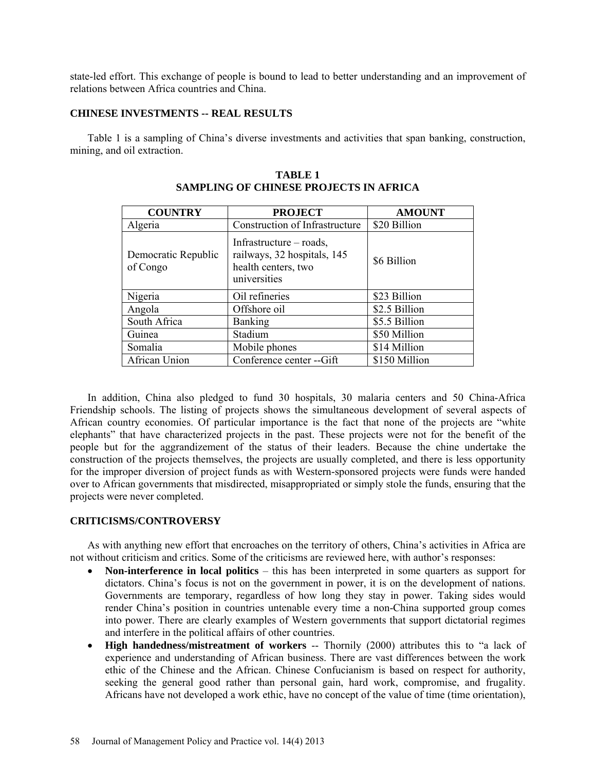state-led effort. This exchange of people is bound to lead to better understanding and an improvement of relations between Africa countries and China.

## **CHINESE INVESTMENTS -- REAL RESULTS**

Table 1 is a sampling of China's diverse investments and activities that span banking, construction, mining, and oil extraction.

| <b>COUNTRY</b>                  | <b>PROJECT</b>                                                                                  | <b>AMOUNT</b> |
|---------------------------------|-------------------------------------------------------------------------------------------------|---------------|
| Algeria                         | Construction of Infrastructure                                                                  | \$20 Billion  |
| Democratic Republic<br>of Congo | Infrastructure $-$ roads,<br>railways, 32 hospitals, 145<br>health centers, two<br>universities | \$6 Billion   |
| Nigeria                         | Oil refineries                                                                                  | \$23 Billion  |
| Angola                          | Offshore oil                                                                                    | \$2.5 Billion |
| South Africa                    | <b>Banking</b>                                                                                  | \$5.5 Billion |
| Guinea                          | Stadium                                                                                         | \$50 Million  |
| Somalia                         | Mobile phones                                                                                   | \$14 Million  |
| African Union                   | Conference center -- Gift                                                                       | \$150 Million |

**TABLE 1 SAMPLING OF CHINESE PROJECTS IN AFRICA**

In addition, China also pledged to fund 30 hospitals, 30 malaria centers and 50 China-Africa Friendship schools. The listing of projects shows the simultaneous development of several aspects of African country economies. Of particular importance is the fact that none of the projects are "white elephants" that have characterized projects in the past. These projects were not for the benefit of the people but for the aggrandizement of the status of their leaders. Because the chine undertake the construction of the projects themselves, the projects are usually completed, and there is less opportunity for the improper diversion of project funds as with Western-sponsored projects were funds were handed over to African governments that misdirected, misappropriated or simply stole the funds, ensuring that the projects were never completed.

## **CRITICISMS/CONTROVERSY**

As with anything new effort that encroaches on the territory of others, China's activities in Africa are not without criticism and critics. Some of the criticisms are reviewed here, with author's responses:

- **Non-interference in local politics** this has been interpreted in some quarters as support for dictators. China's focus is not on the government in power, it is on the development of nations. Governments are temporary, regardless of how long they stay in power. Taking sides would render China's position in countries untenable every time a non-China supported group comes into power. There are clearly examples of Western governments that support dictatorial regimes and interfere in the political affairs of other countries.
- **High handedness/mistreatment of workers** -- Thornily (2000) attributes this to "a lack of experience and understanding of African business. There are vast differences between the work ethic of the Chinese and the African. Chinese Confucianism is based on respect for authority, seeking the general good rather than personal gain, hard work, compromise, and frugality. Africans have not developed a work ethic, have no concept of the value of time (time orientation),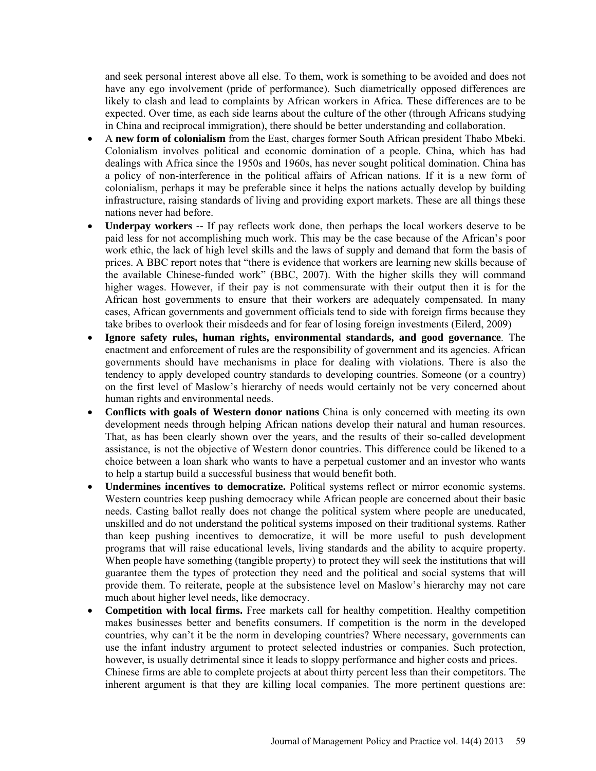and seek personal interest above all else. To them, work is something to be avoided and does not have any ego involvement (pride of performance). Such diametrically opposed differences are likely to clash and lead to complaints by African workers in Africa. These differences are to be expected. Over time, as each side learns about the culture of the other (through Africans studying in China and reciprocal immigration), there should be better understanding and collaboration.

- A **new form of colonialism** from the East, charges former South African president Thabo Mbeki. Colonialism involves political and economic domination of a people. China, which has had dealings with Africa since the 1950s and 1960s, has never sought political domination. China has a policy of non-interference in the political affairs of African nations. If it is a new form of colonialism, perhaps it may be preferable since it helps the nations actually develop by building infrastructure, raising standards of living and providing export markets. These are all things these nations never had before.
- **Underpay workers --** If pay reflects work done, then perhaps the local workers deserve to be paid less for not accomplishing much work. This may be the case because of the African's poor work ethic, the lack of high level skills and the laws of supply and demand that form the basis of prices. A BBC report notes that "there is evidence that workers are learning new skills because of the available Chinese-funded work" (BBC, 2007). With the higher skills they will command higher wages. However, if their pay is not commensurate with their output then it is for the African host governments to ensure that their workers are adequately compensated. In many cases, African governments and government officials tend to side with foreign firms because they take bribes to overlook their misdeeds and for fear of losing foreign investments (Eilerd, 2009)
- **Ignore safety rules, human rights, environmental standards, and good governance**. The enactment and enforcement of rules are the responsibility of government and its agencies. African governments should have mechanisms in place for dealing with violations. There is also the tendency to apply developed country standards to developing countries. Someone (or a country) on the first level of Maslow's hierarchy of needs would certainly not be very concerned about human rights and environmental needs.
- **Conflicts with goals of Western donor nations** China is only concerned with meeting its own development needs through helping African nations develop their natural and human resources. That, as has been clearly shown over the years, and the results of their so-called development assistance, is not the objective of Western donor countries. This difference could be likened to a choice between a loan shark who wants to have a perpetual customer and an investor who wants to help a startup build a successful business that would benefit both.
- **Undermines incentives to democratize.** Political systems reflect or mirror economic systems. Western countries keep pushing democracy while African people are concerned about their basic needs. Casting ballot really does not change the political system where people are uneducated, unskilled and do not understand the political systems imposed on their traditional systems. Rather than keep pushing incentives to democratize, it will be more useful to push development programs that will raise educational levels, living standards and the ability to acquire property. When people have something (tangible property) to protect they will seek the institutions that will guarantee them the types of protection they need and the political and social systems that will provide them. To reiterate, people at the subsistence level on Maslow's hierarchy may not care much about higher level needs, like democracy.
- **Competition with local firms.** Free markets call for healthy competition. Healthy competition makes businesses better and benefits consumers. If competition is the norm in the developed countries, why can't it be the norm in developing countries? Where necessary, governments can use the infant industry argument to protect selected industries or companies. Such protection, however, is usually detrimental since it leads to sloppy performance and higher costs and prices. Chinese firms are able to complete projects at about thirty percent less than their competitors. The inherent argument is that they are killing local companies. The more pertinent questions are: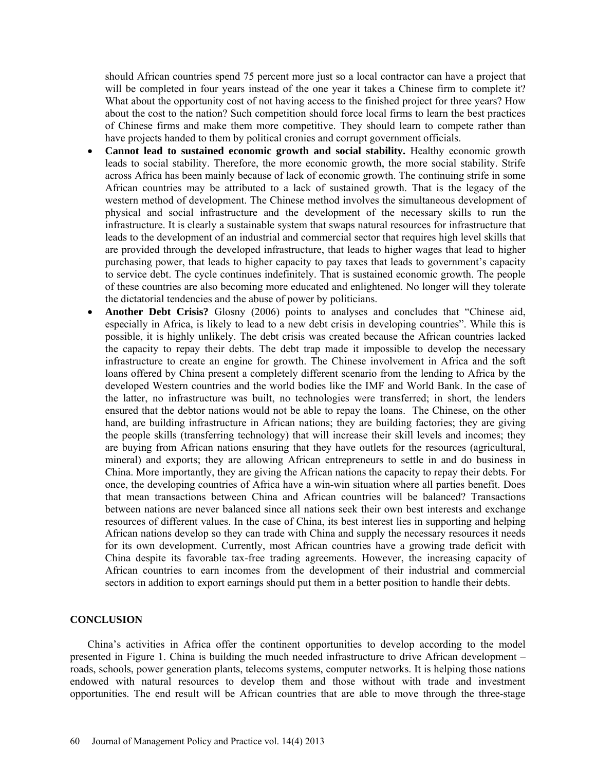should African countries spend 75 percent more just so a local contractor can have a project that will be completed in four years instead of the one year it takes a Chinese firm to complete it? What about the opportunity cost of not having access to the finished project for three years? How about the cost to the nation? Such competition should force local firms to learn the best practices of Chinese firms and make them more competitive. They should learn to compete rather than have projects handed to them by political cronies and corrupt government officials.

- **Cannot lead to sustained economic growth and social stability.** Healthy economic growth leads to social stability. Therefore, the more economic growth, the more social stability. Strife across Africa has been mainly because of lack of economic growth. The continuing strife in some African countries may be attributed to a lack of sustained growth. That is the legacy of the western method of development. The Chinese method involves the simultaneous development of physical and social infrastructure and the development of the necessary skills to run the infrastructure. It is clearly a sustainable system that swaps natural resources for infrastructure that leads to the development of an industrial and commercial sector that requires high level skills that are provided through the developed infrastructure, that leads to higher wages that lead to higher purchasing power, that leads to higher capacity to pay taxes that leads to government's capacity to service debt. The cycle continues indefinitely. That is sustained economic growth. The people of these countries are also becoming more educated and enlightened. No longer will they tolerate the dictatorial tendencies and the abuse of power by politicians.
- **Another Debt Crisis?** Glosny (2006) points to analyses and concludes that "Chinese aid, especially in Africa, is likely to lead to a new debt crisis in developing countries". While this is possible, it is highly unlikely. The debt crisis was created because the African countries lacked the capacity to repay their debts. The debt trap made it impossible to develop the necessary infrastructure to create an engine for growth. The Chinese involvement in Africa and the soft loans offered by China present a completely different scenario from the lending to Africa by the developed Western countries and the world bodies like the IMF and World Bank. In the case of the latter, no infrastructure was built, no technologies were transferred; in short, the lenders ensured that the debtor nations would not be able to repay the loans. The Chinese, on the other hand, are building infrastructure in African nations; they are building factories; they are giving the people skills (transferring technology) that will increase their skill levels and incomes; they are buying from African nations ensuring that they have outlets for the resources (agricultural, mineral) and exports; they are allowing African entrepreneurs to settle in and do business in China. More importantly, they are giving the African nations the capacity to repay their debts. For once, the developing countries of Africa have a win-win situation where all parties benefit. Does that mean transactions between China and African countries will be balanced? Transactions between nations are never balanced since all nations seek their own best interests and exchange resources of different values. In the case of China, its best interest lies in supporting and helping African nations develop so they can trade with China and supply the necessary resources it needs for its own development. Currently, most African countries have a growing trade deficit with China despite its favorable tax-free trading agreements. However, the increasing capacity of African countries to earn incomes from the development of their industrial and commercial sectors in addition to export earnings should put them in a better position to handle their debts.

#### **CONCLUSION**

China's activities in Africa offer the continent opportunities to develop according to the model presented in Figure 1. China is building the much needed infrastructure to drive African development – roads, schools, power generation plants, telecoms systems, computer networks. It is helping those nations endowed with natural resources to develop them and those without with trade and investment opportunities. The end result will be African countries that are able to move through the three-stage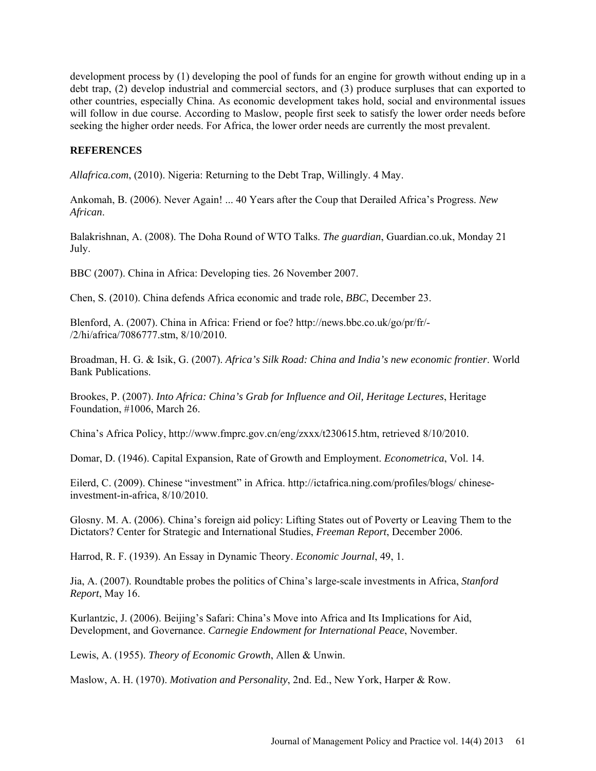development process by (1) developing the pool of funds for an engine for growth without ending up in a debt trap, (2) develop industrial and commercial sectors, and (3) produce surpluses that can exported to other countries, especially China. As economic development takes hold, social and environmental issues will follow in due course. According to Maslow, people first seek to satisfy the lower order needs before seeking the higher order needs. For Africa, the lower order needs are currently the most prevalent.

## **REFERENCES**

*Allafrica.com*, (2010). [Nigeria:](http://allafrica.com/nigeria/) Returning to the Debt Trap, Willingly. 4 May.

Ankomah, B. (2006). Never Again! ... 40 Years after the Coup that Derailed Africa's Progress. *New African*.

[Balakrishnan,](http://www.guardian.co.uk/profile/angelabalakrishnan) A. (2008). The Doha Round of WTO Talks. *The guardian*, [Guardian.co.uk,](http://www.guardian.co.uk/) Monday 21 July.

BBC (2007). China in Africa: Developing ties. 26 November 2007.

Chen, S. (2010). China defends Africa economic and trade role, *BBC*, December 23.

Blenford, A. (2007). China in Africa: Friend or foe? [http://news.bbc.co.uk/go/pr/fr/-](http://news.bbc.co.uk/go/pr/fr/-/2/hi/africa/7086777.stm) [/2/hi/africa/7086777.stm,](http://news.bbc.co.uk/go/pr/fr/-/2/hi/africa/7086777.stm) 8/10/2010.

Broadman, H. G. & Isik, G. (2007). *Africa's Silk Road: China and India's new economic frontier*. World Bank Publications.

Brookes, P. (2007). *Into Africa: China's Grab for Influence and Oil, Heritage Lectures*, Heritage Foundation, #1006, March 26.

China's Africa Policy, [http://www.fmprc.gov.cn/eng/zxxx/t230615.htm,](http://www.fmprc.gov.cn/eng/zxxx/t230615.htm) retrieved 8/10/2010.

Domar, D. (1946). Capital Expansion, Rate of Growth and Employment. *Econometrica*, Vol. 14.

Eilerd, C. (2009). Chinese "investment" in Africa. [http://ictafrica.ning.com/profiles/blogs/ chinese](http://ictafrica.ning.com/profiles/blogs/%20chinese-investment-in-africa)[investment-in-africa,](http://ictafrica.ning.com/profiles/blogs/%20chinese-investment-in-africa) 8/10/2010.

Glosny. M. A. (2006). China's foreign aid policy: Lifting States out of Poverty or Leaving Them to the Dictators? Center for Strategic and International Studies, *Freeman Report*, December 2006.

Harrod, R. F. (1939). An Essay in Dynamic Theory. *Economic Journal*, 49, 1.

Jia, A. (2007). Roundtable probes the politics of China's large-scale investments in Africa, *Stanford Report*, May 16.

Kurlantzic, J. (2006). Beijing's Safari: China's Move into Africa and Its Implications for Aid, Development, and Governance. *Carnegie Endowment for International Peace*, November.

Lewis, A. (1955). *Theory of Economic Growth*, Allen & Unwin.

Maslow, A. H. (1970). *Motivation and Personality*, 2nd. Ed., New York, Harper & Row.